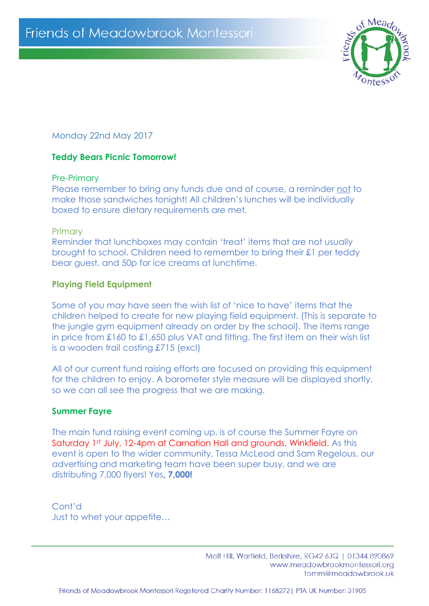

Monday 22nd May 2017

# **Teddy Bears Picnic Tomorrow!**

#### Pre-Primary

Please remember to bring any funds due and of course, a reminder not to make those sandwiches tonight! All children's lunches will be individually boxed to ensure dietary requirements are met.

#### **Primary**

Reminder that lunchboxes may contain 'treat' items that are not usually brought to school. Children need to remember to bring their £1 per teddy bear guest, and 50p for ice creams at lunchtime.

## **Playing Field Equipment**

Some of you may have seen the wish list of 'nice to have' items that the children helped to create for new playing field equipment. (This is separate to the jungle gym equipment already on order by the school). The items range in price from £160 to £1,650 plus VAT and fitting. The first item on their wish list is a wooden trail costing £715 (excl)

All of our current fund raising efforts are focused on providing this equipment for the children to enjoy. A barometer style measure will be displayed shortly, so we can all see the progress that we are making.

### **Summer Fayre**

The main fund raising event coming up, is of course the Summer Fayre on Saturday 1st July, 12-4pm at Carnation Hall and grounds, Winkfield. As this event is open to the wider community, Tessa McLeod and Sam Regelous, our advertising and marketing team have been super busy, and we are distributing 7,000 flyers! Yes**, 7,000!**

Cont'd Just to whet your appetite…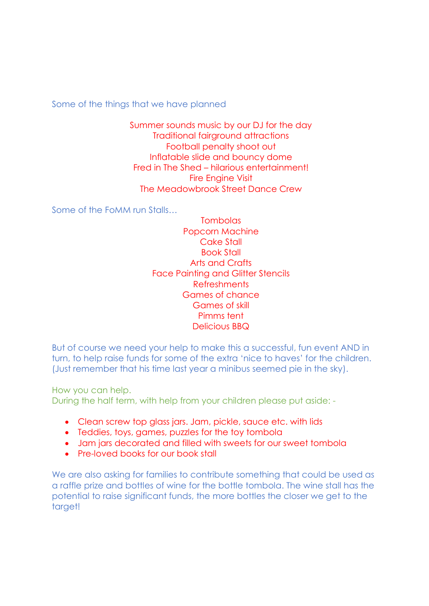Some of the things that we have planned

Summer sounds music by our DJ for the day Traditional fairground attractions Football penalty shoot out Inflatable slide and bouncy dome Fred in The Shed – hilarious entertainment! Fire Engine Visit The Meadowbrook Street Dance Crew

Some of the FoMM run Stalls…

**Tombolas** Popcorn Machine Cake Stall Book Stall Arts and Crafts Face Painting and Glitter Stencils **Refreshments** Games of chance Games of skill Pimms tent Delicious BBQ

But of course we need your help to make this a successful, fun event AND in turn, to help raise funds for some of the extra 'nice to haves' for the children. (Just remember that his time last year a minibus seemed pie in the sky).

How you can help.

During the half term, with help from your children please put aside: -

- Clean screw top glass jars. Jam, pickle, sauce etc. with lids
- Teddies, toys, games, puzzles for the toy tombola
- Jam jars decorated and filled with sweets for our sweet tombola
- Pre-loved books for our book stall

We are also asking for families to contribute something that could be used as a raffle prize and bottles of wine for the bottle tombola. The wine stall has the potential to raise significant funds, the more bottles the closer we get to the target!